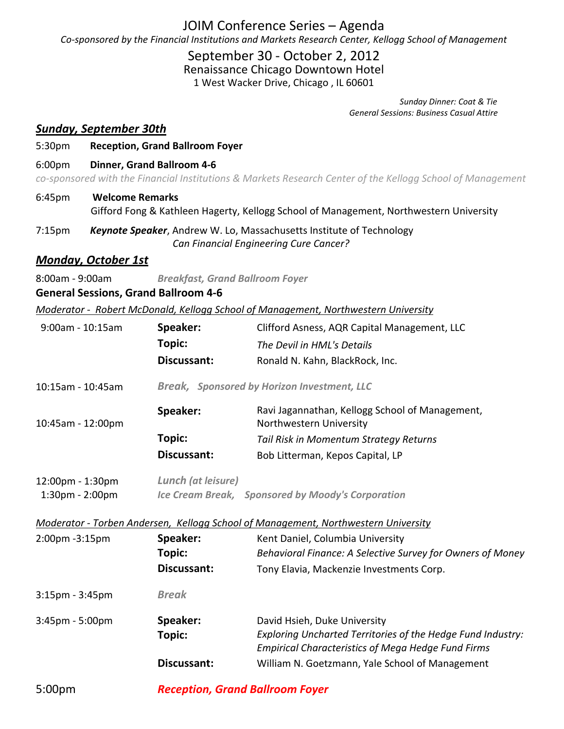## JOIM Conference Series – Agenda *Co‐sponsored by the Financial Institutions and Markets Research Center, Kellogg School of Management*

## September 30 ‐ October 2, 2012

Renaissance Chicago Downtown Hotel

1 West Wacker Drive, Chicago , IL 60601

  *Sunday Dinner: Coat & Tie General Sessions: Business Casual Attire*

### *Sunday, September 30th*

#### 5:30pm **Reception, Grand Ballroom Foyer**

6:00pm **Dinner, Grand Ballroom 4‐6**

co-sponsored with the Financial Institutions & Markets Research Center of the Kellogg School of Management

- 6:45pm **Welcome Remarks** Gifford Fong & Kathleen Hagerty, Kellogg School of Management, Northwestern University
- 7:15pm *Keynote Speaker*, Andrew W. Lo, Massachusetts Institute of Technology  *Can Financial Engineering Cure Cancer?*

### *Monday, October 1st*

8:00am ‐ 9:00am *Breakfast, Grand Ballroom Foyer* 

#### **General Sessions, Grand Ballroom 4‐6**

*Moderator ‐ Robert McDonald, Kellogg School of Management, Northwestern University*

| $9:00$ am - 10:15am                                                                | Speaker:                                           | Clifford Asness, AQR Capital Management, LLC                                                                             |  |  |
|------------------------------------------------------------------------------------|----------------------------------------------------|--------------------------------------------------------------------------------------------------------------------------|--|--|
|                                                                                    | Topic:                                             | The Devil in HML's Details                                                                                               |  |  |
|                                                                                    | <b>Discussant:</b>                                 | Ronald N. Kahn, BlackRock, Inc.                                                                                          |  |  |
| 10:15am - 10:45am                                                                  | <b>Break, Sponsored by Horizon Investment, LLC</b> |                                                                                                                          |  |  |
| 10:45am - 12:00pm                                                                  | Speaker:                                           | Ravi Jagannathan, Kellogg School of Management,<br>Northwestern University                                               |  |  |
|                                                                                    | Topic:                                             | Tail Risk in Momentum Strategy Returns                                                                                   |  |  |
|                                                                                    | Discussant:                                        | Bob Litterman, Kepos Capital, LP                                                                                         |  |  |
| 12:00pm - 1:30pm<br>1:30pm - 2:00pm                                                | Lunch (at leisure)                                 | Ice Cream Break, Sponsored by Moody's Corporation                                                                        |  |  |
| Moderator - Torben Andersen, Kellogg School of Management, Northwestern University |                                                    |                                                                                                                          |  |  |
| 2:00pm -3:15pm                                                                     | Speaker:                                           | Kent Daniel, Columbia University                                                                                         |  |  |
|                                                                                    | Topic:                                             | Behavioral Finance: A Selective Survey for Owners of Money                                                               |  |  |
|                                                                                    | Discussant:                                        | Tony Elavia, Mackenzie Investments Corp.                                                                                 |  |  |
| $3:15$ pm - $3:45$ pm                                                              | <b>Break</b>                                       |                                                                                                                          |  |  |
| $3:45$ pm - $5:00$ pm                                                              | Speaker:                                           | David Hsieh, Duke University                                                                                             |  |  |
|                                                                                    | Topic:                                             | Exploring Uncharted Territories of the Hedge Fund Industry:<br><b>Empirical Characteristics of Mega Hedge Fund Firms</b> |  |  |
|                                                                                    | Discussant:                                        | William N. Goetzmann, Yale School of Management                                                                          |  |  |
| 5:00 <sub>pm</sub>                                                                 | <b>Reception, Grand Ballroom Foyer</b>             |                                                                                                                          |  |  |